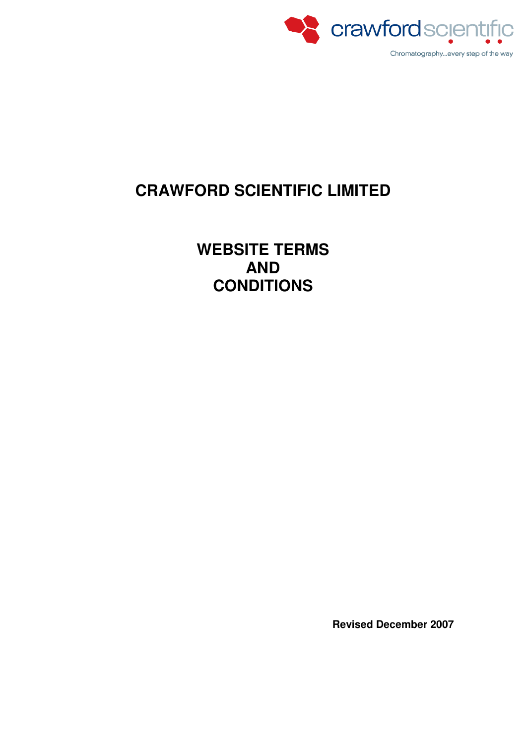

# **CRAWFORD SCIENTIFIC LIMITED**

**WEBSITE TERMS AND CONDITIONS** 

**Revised December 2007**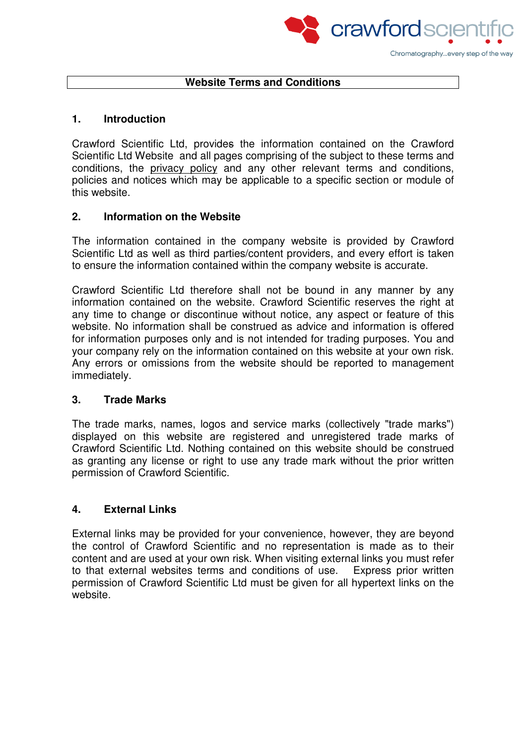

## **Website Terms and Conditions**

#### **1. Introduction**

Crawford Scientific Ltd, provides the information contained on the Crawford Scientific Ltd Website and all pages comprising of the subject to these terms and conditions, the privacy policy and any other relevant terms and conditions, policies and notices which may be applicable to a specific section or module of this website.

## **2. Information on the Website**

The information contained in the company website is provided by Crawford Scientific Ltd as well as third parties/content providers, and every effort is taken to ensure the information contained within the company website is accurate.

Crawford Scientific Ltd therefore shall not be bound in any manner by any information contained on the website. Crawford Scientific reserves the right at any time to change or discontinue without notice, any aspect or feature of this website. No information shall be construed as advice and information is offered for information purposes only and is not intended for trading purposes. You and your company rely on the information contained on this website at your own risk. Any errors or omissions from the website should be reported to management immediately.

#### **3. Trade Marks**

The trade marks, names, logos and service marks (collectively "trade marks") displayed on this website are registered and unregistered trade marks of Crawford Scientific Ltd. Nothing contained on this website should be construed as granting any license or right to use any trade mark without the prior written permission of Crawford Scientific.

## **4. External Links**

External links may be provided for your convenience, however, they are beyond the control of Crawford Scientific and no representation is made as to their content and are used at your own risk. When visiting external links you must refer to that external websites terms and conditions of use. Express prior written permission of Crawford Scientific Ltd must be given for all hypertext links on the website.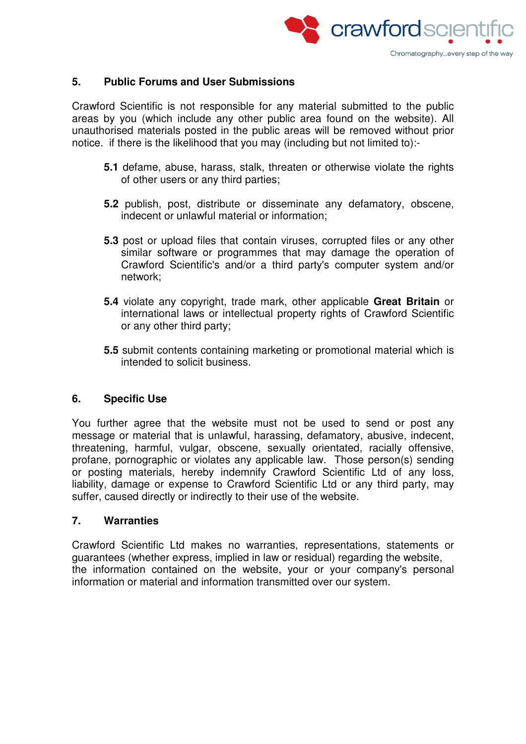

#### **5. Public Forums and User Submissions**

Crawford Scientific is not responsible for any material submitted to the public areas by you (which include any other public area found on the website). All unauthorised materials posted in the public areas will be removed without prior notice. if there is the likelihood that you may (including but not limited to):-

- **5.1** defame, abuse, harass, stalk, threaten or otherwise violate the rights of other users or any third parties;
- **5.2** publish, post, distribute or disseminate any defamatory, obscene, indecent or unlawful material or information;
- **5.3** post or upload files that contain viruses, corrupted files or any other similar software or programmes that may damage the operation of Crawford Scientific's and/or a third party's computer system and/or network;
- **5.4** violate any copyright, trade mark, other applicable **Great Britain** or international laws or intellectual property rights of Crawford Scientific or any other third party;
- **5.5** submit contents containing marketing or promotional material which is intended to solicit business.

## **6. Specific Use**

You further agree that the website must not be used to send or post any message or material that is unlawful, harassing, defamatory, abusive, indecent, threatening, harmful, vulgar, obscene, sexually orientated, racially offensive, profane, pornographic or violates any applicable law. Those person(s) sending or posting materials, hereby indemnify Crawford Scientific Ltd of any loss, liability, damage or expense to Crawford Scientific Ltd or any third party, may suffer, caused directly or indirectly to their use of the website.

#### **7. Warranties**

Crawford Scientific Ltd makes no warranties, representations, statements or guarantees (whether express, implied in law or residual) regarding the website, the information contained on the website, your or your company's personal information or material and information transmitted over our system.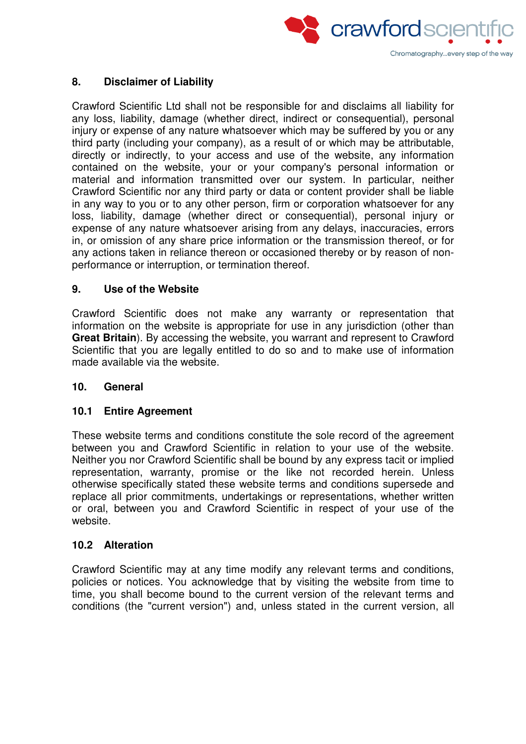

## **8. Disclaimer of Liability**

Crawford Scientific Ltd shall not be responsible for and disclaims all liability for any loss, liability, damage (whether direct, indirect or consequential), personal injury or expense of any nature whatsoever which may be suffered by you or any third party (including your company), as a result of or which may be attributable, directly or indirectly, to your access and use of the website, any information contained on the website, your or your company's personal information or material and information transmitted over our system. In particular, neither Crawford Scientific nor any third party or data or content provider shall be liable in any way to you or to any other person, firm or corporation whatsoever for any loss, liability, damage (whether direct or consequential), personal injury or expense of any nature whatsoever arising from any delays, inaccuracies, errors in, or omission of any share price information or the transmission thereof, or for any actions taken in reliance thereon or occasioned thereby or by reason of nonperformance or interruption, or termination thereof.

## **9. Use of the Website**

Crawford Scientific does not make any warranty or representation that information on the website is appropriate for use in any jurisdiction (other than **Great Britain**). By accessing the website, you warrant and represent to Crawford Scientific that you are legally entitled to do so and to make use of information made available via the website.

## **10. General**

## **10.1 Entire Agreement**

These website terms and conditions constitute the sole record of the agreement between you and Crawford Scientific in relation to your use of the website. Neither you nor Crawford Scientific shall be bound by any express tacit or implied representation, warranty, promise or the like not recorded herein. Unless otherwise specifically stated these website terms and conditions supersede and replace all prior commitments, undertakings or representations, whether written or oral, between you and Crawford Scientific in respect of your use of the website.

## **10.2 Alteration**

Crawford Scientific may at any time modify any relevant terms and conditions, policies or notices. You acknowledge that by visiting the website from time to time, you shall become bound to the current version of the relevant terms and conditions (the "current version") and, unless stated in the current version, all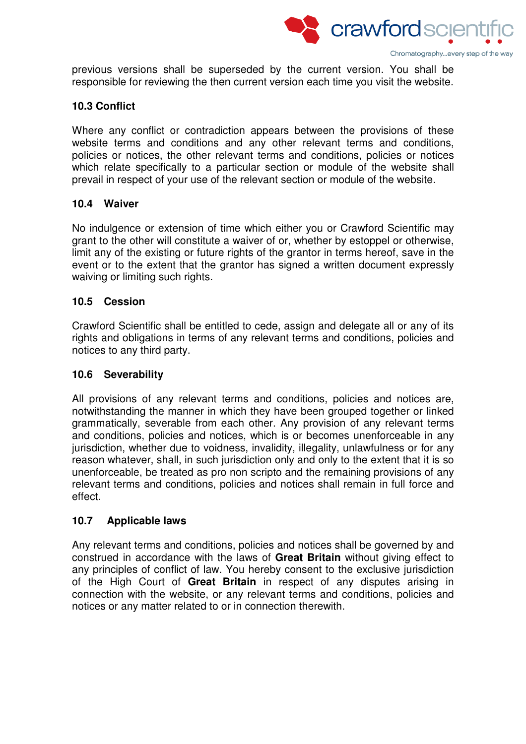

previous versions shall be superseded by the current version. You shall be responsible for reviewing the then current version each time you visit the website.

## **10.3 Conflict**

Where any conflict or contradiction appears between the provisions of these website terms and conditions and any other relevant terms and conditions, policies or notices, the other relevant terms and conditions, policies or notices which relate specifically to a particular section or module of the website shall prevail in respect of your use of the relevant section or module of the website.

#### **10.4 Waiver**

No indulgence or extension of time which either you or Crawford Scientific may grant to the other will constitute a waiver of or, whether by estoppel or otherwise, limit any of the existing or future rights of the grantor in terms hereof, save in the event or to the extent that the grantor has signed a written document expressly waiving or limiting such rights.

#### **10.5 Cession**

Crawford Scientific shall be entitled to cede, assign and delegate all or any of its rights and obligations in terms of any relevant terms and conditions, policies and notices to any third party.

#### **10.6 Severability**

All provisions of any relevant terms and conditions, policies and notices are, notwithstanding the manner in which they have been grouped together or linked grammatically, severable from each other. Any provision of any relevant terms and conditions, policies and notices, which is or becomes unenforceable in any jurisdiction, whether due to voidness, invalidity, illegality, unlawfulness or for any reason whatever, shall, in such jurisdiction only and only to the extent that it is so unenforceable, be treated as pro non scripto and the remaining provisions of any relevant terms and conditions, policies and notices shall remain in full force and effect.

## **10.7 Applicable laws**

Any relevant terms and conditions, policies and notices shall be governed by and construed in accordance with the laws of **Great Britain** without giving effect to any principles of conflict of law. You hereby consent to the exclusive jurisdiction of the High Court of **Great Britain** in respect of any disputes arising in connection with the website, or any relevant terms and conditions, policies and notices or any matter related to or in connection therewith.